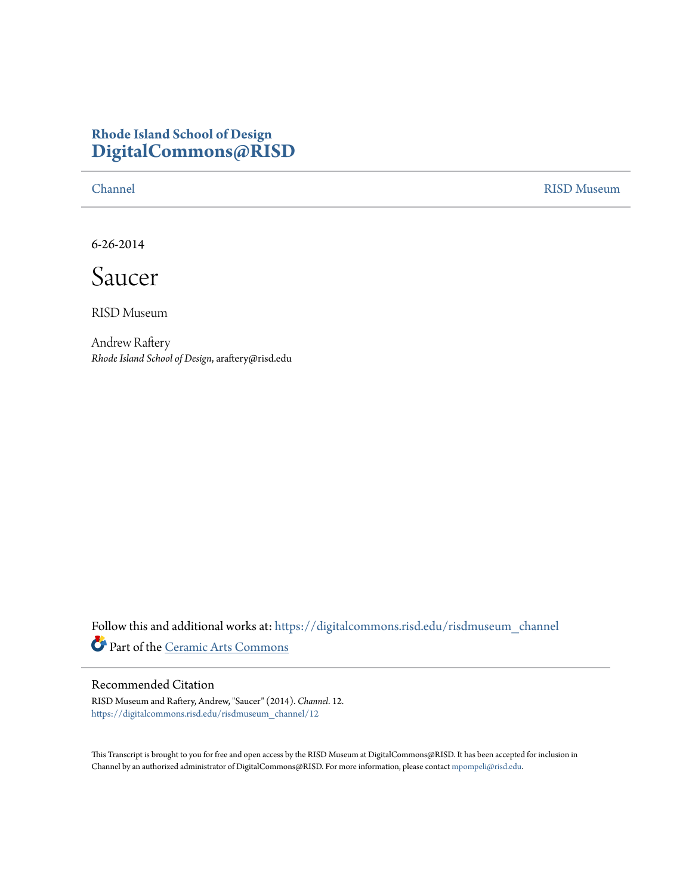## **Rhode Island School of Design [DigitalCommons@RISD](https://digitalcommons.risd.edu?utm_source=digitalcommons.risd.edu%2Frisdmuseum_channel%2F12&utm_medium=PDF&utm_campaign=PDFCoverPages)**

[Channel](https://digitalcommons.risd.edu/risdmuseum_channel?utm_source=digitalcommons.risd.edu%2Frisdmuseum_channel%2F12&utm_medium=PDF&utm_campaign=PDFCoverPages) [RISD Museum](https://digitalcommons.risd.edu/risdmuseum?utm_source=digitalcommons.risd.edu%2Frisdmuseum_channel%2F12&utm_medium=PDF&utm_campaign=PDFCoverPages)

6-26-2014

Saucer

RISD Museum

Andrew Raftery *Rhode Island School of Design*, araftery@risd.edu

Follow this and additional works at: [https://digitalcommons.risd.edu/risdmuseum\\_channel](https://digitalcommons.risd.edu/risdmuseum_channel?utm_source=digitalcommons.risd.edu%2Frisdmuseum_channel%2F12&utm_medium=PDF&utm_campaign=PDFCoverPages) Part of the [Ceramic Arts Commons](http://network.bepress.com/hgg/discipline/1336?utm_source=digitalcommons.risd.edu%2Frisdmuseum_channel%2F12&utm_medium=PDF&utm_campaign=PDFCoverPages)

## Recommended Citation

RISD Museum and Raftery, Andrew, "Saucer" (2014). *Channel*. 12. [https://digitalcommons.risd.edu/risdmuseum\\_channel/12](https://digitalcommons.risd.edu/risdmuseum_channel/12?utm_source=digitalcommons.risd.edu%2Frisdmuseum_channel%2F12&utm_medium=PDF&utm_campaign=PDFCoverPages)

This Transcript is brought to you for free and open access by the RISD Museum at DigitalCommons@RISD. It has been accepted for inclusion in Channel by an authorized administrator of DigitalCommons@RISD. For more information, please contact [mpompeli@risd.edu.](mailto:mpompeli@risd.edu)